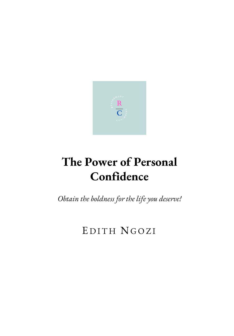

# <span id="page-0-0"></span>**The Power of Personal Confidence**

*Obtain the boldness for the life you deserve!*

### EDITH NGOZI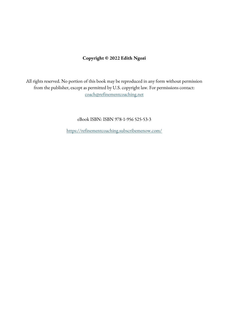### **Copyright © 2022 Edith Ngozi**

All rights reserved. No portion of this book may be reproduced in any form without permission from the publisher, except as permitted by U.S. copyright law. For permissions contact: [coach@refinementcoaching.net](mailto:coach@refinementcoaching.net)

eBook ISBN: ISBN 978-1-956 525-53-3

<https://refinementcoaching.subscribemenow.com/>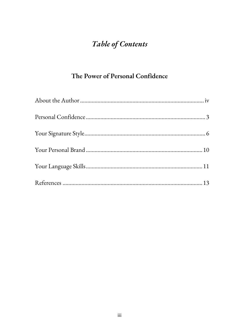### Table of Contents

### The Power of Personal Confidence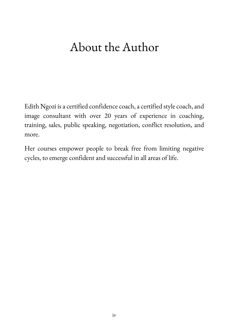# <span id="page-3-0"></span>About the Author

Edith Ngozi is a certified confidence coach, a certified style coach, and image consultant with over 20 years of experience in coaching, training, sales, public speaking, negotiation, conflict resolution, and more.

Her courses empower people to break free from limiting negative cycles, to emerge confident and successful in all areas of life.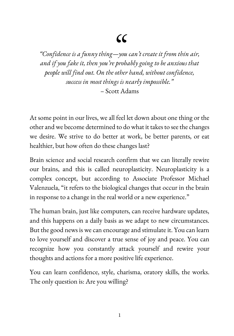*"Confidence is a funny thing—*" *you can't create it from thin air, and if you fake it, then you're probably going to be anxious that people will find out. On the other hand, without confidence, success in most things is nearly impossible."* – Scott Adams

At some point in our lives, we all feel let down about one thing or the other and we become determined to do what it takes to see the changes we desire. We strive to do better at work, be better parents, or eat healthier, but how often do these changes last?

Brain science and social research confirm that we can literally rewire our brains, and this is called neuroplasticity. Neuroplasticity is a complex concept, but according to Associate Professor Michael Valenzuela, "it refers to the biological changes that occur in the brain in response to a change in the real world or a new experience."

The human brain, just like computers, can receive hardware updates, and this happens on a daily basis as we adapt to new circumstances. But the good news is we can encourage and stimulate it. You can learn to love yourself and discover a true sense of joy and peace. You can recognize how you constantly attack yourself and rewire your thoughts and actions for a more positive life experience.

You can learn confidence, style, charisma, oratory skills, the works. The only question is: Are you willing?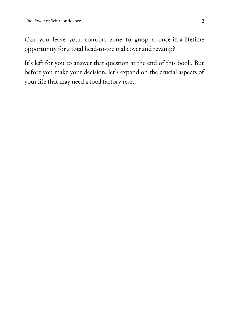Can you leave your comfort zone to grasp a once-in-a-lifetime opportunity for a total head-to-toe makeover and revamp?

It's left for you to answer that question at the end of this book. But before you make your decision, let's expand on the crucial aspects of your life that may need a total factory reset.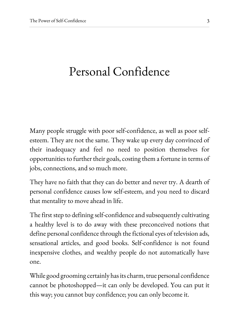### <span id="page-6-0"></span>Personal Confidence

Many people struggle with poor self-confidence, as well as poor selfesteem. They are not the same. They wake up every day convinced of their inadequacy and feel no need to position themselves for opportunities to further their goals, costing them a fortune in terms of jobs, connections, and so much more.

They have no faith that they can do better and never try. A dearth of personal confidence causes low self-esteem, and you need to discard that mentality to move ahead in life.

The first step to defining self-confidence and subsequently cultivating a healthy level is to do away with these preconceived notions that define personal confidence through the fictional eyes of television ads, sensational articles, and good books. Self-confidence is not found inexpensive clothes, and wealthy people do not automatically have one.

While good grooming certainly has its charm, true personal confidence cannot be photoshopped—it can only be developed. You can put it this way; you cannot buy confidence; you can only become it.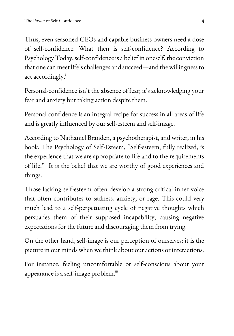Thus, even seasoned CEOs and capable business owners need a dose of self-confidence. What then is self-confidence? According to Psychology Today, self-confidence is a belief in oneself, the conviction that one can meet life's challenges and succeed—and the willingness to act accordingly.<sup>i</sup>

Personal-confidence isn't the absence of fear; it's acknowledging your fear and anxiety but taking action despite them.

Personal confidence is an integral recipe for success in all areas of life and is greatly influenced by our self-esteem and self-image.

According to Nathaniel Branden, a psychotherapist, and writer, in his book, The Psychology of Self-Esteem, "Self-esteem, fully realized, is the experience that we are appropriate to life and to the requirements of life."ii It is the belief that we are worthy of good experiences and things.

Those lacking self-esteem often develop a strong critical inner voice that often contributes to sadness, anxiety, or rage. This could very much lead to a self-perpetuating cycle of negative thoughts which persuades them of their supposed incapability, causing negative expectations for the future and discouraging them from trying.

On the other hand, self-image is our perception of ourselves; it is the picture in our minds when we think about our actions or interactions.

For instance, feeling uncomfortable or self-conscious about your appearance is a self-image problem.<sup>iii</sup>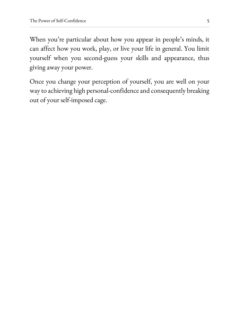When you're particular about how you appear in people's minds, it can affect how you work, play, or live your life in general. You limit yourself when you second-guess your skills and appearance, thus giving away your power.

Once you change your perception of yourself, you are well on your way to achieving high personal-confidence and consequently breaking out of your self-imposed cage.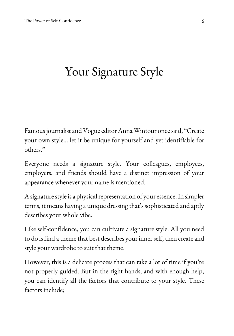## <span id="page-9-0"></span>Your Signature Style

Famous journalist and Vogue editor Anna Wintour once said, "Create your own style… let it be unique for yourself and yet identifiable for others."

Everyone needs a signature style. Your colleagues, employees, employers, and friends should have a distinct impression of your appearance whenever your name is mentioned.

A signature style is a physical representation of your essence. In simpler terms, it means having a unique dressing that's sophisticated and aptly describes your whole vibe.

Like self-confidence, you can cultivate a signature style. All you need to do is find a theme that best describes your inner self, then create and style your wardrobe to suit that theme.

However, this is a delicate process that can take a lot of time if you're not properly guided. But in the right hands, and with enough help, you can identify all the factors that contribute to your style. These factors include;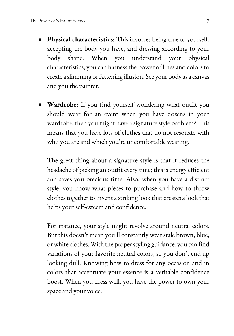- **Physical characteristics:** This involves being true to yourself, accepting the body you have, and dressing according to your body shape. When you understand your physical characteristics, you can harness the power of lines and colors to create a slimming or fattening illusion. See your body as a canvas and you the painter.
- **Wardrobe:** If you find yourself wondering what outfit you should wear for an event when you have dozens in your wardrobe, then you might have a signature style problem? This means that you have lots of clothes that do not resonate with who you are and which you're uncomfortable wearing.

The great thing about a signature style is that it reduces the headache of picking an outfit every time; this is energy efficient and saves you precious time. Also, when you have a distinct style, you know what pieces to purchase and how to throw clothes together to invent a striking look that creates a look that helps your self-esteem and confidence.

For instance, your style might revolve around neutral colors. But this doesn't mean you'll constantly wear stale brown, blue, or white clothes. With the proper styling guidance, you can find variations of your favorite neutral colors, so you don't end up looking dull. Knowing how to dress for any occasion and in colors that accentuate your essence is a veritable confidence boost. When you dress well, you have the power to own your space and your voice.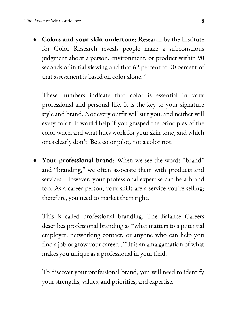**Colors and your skin undertone:** Research by the Institute for Color Research reveals people make a subconscious judgment about a person, environment, or product within 90 seconds of initial viewing and that 62 percent to 90 percent of that assessment is based on color alone.<sup>iv</sup>

These numbers indicate that color is essential in your professional and personal life. It is the key to your signature style and brand. Not every outfit will suit you, and neither will every color. It would help if you grasped the principles of the color wheel and what hues work for your skin tone, and which ones clearly don't. Be a color pilot, not a color riot.

 **Your professional brand:** When we see the words "brand" and "branding," we often associate them with products and services. However, your professional expertise can be a brand too. As a career person, your skills are a service you're selling; therefore, you need to market them right.

This is called professional branding. The Balance Careers describes professional branding as "what matters to a potential employer, networking contact, or anyone who can help you find a job or grow your career..."<sup>v</sup> It is an amalgamation of what makes you unique as a professional in your field.

To discover your professional brand, you will need to identify your strengths, values, and priorities, and expertise.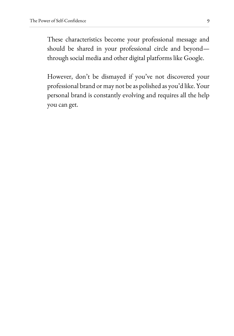These characteristics become your professional message and should be shared in your professional circle and beyond through social media and other digital platforms like Google.

However, don't be dismayed if you've not discovered your professional brand or may not be as polished as you'd like. Your personal brand is constantly evolving and requires all the help you can get.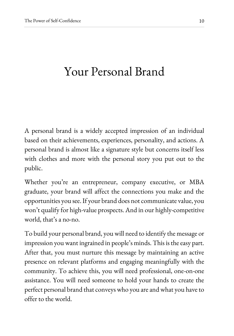### <span id="page-13-0"></span>Your Personal Brand

A personal brand is a widely accepted impression of an individual based on their achievements, experiences, personality, and actions. A personal brand is almost like a signature style but concerns itself less with clothes and more with the personal story you put out to the public.

Whether you're an entrepreneur, company executive, or MBA graduate, your brand will affect the connections you make and the opportunities you see. If your brand does not communicate value, you won't qualify for high-value prospects. And in our highly-competitive world, that's a no-no.

To build your personal brand, you will need to identify the message or impression you want ingrained in people's minds. This is the easy part. After that, you must nurture this message by maintaining an active presence on relevant platforms and engaging meaningfully with the community. To achieve this, you will need professional, one-on-one assistance. You will need someone to hold your hands to create the perfect personal brand that conveys who you are and what you have to offer to the world.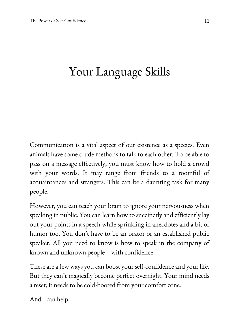# <span id="page-14-0"></span>Your Language Skills

Communication is a vital aspect of our existence as a species. Even animals have some crude methods to talk to each other. To be able to pass on a message effectively, you must know how to hold a crowd with your words. It may range from friends to a roomful of acquaintances and strangers. This can be a daunting task for many people.

However, you can teach your brain to ignore your nervousness when speaking in public. You can learn how to succinctly and efficiently lay out your points in a speech while sprinkling in anecdotes and a bit of humor too. You don't have to be an orator or an established public speaker. All you need to know is how to speak in the company of known and unknown people – with confidence.

These are a few ways you can boost your self-confidence and your life. But they can't magically become perfect overnight. Your mind needs a reset; it needs to be cold-booted from your comfort zone.

And I can help.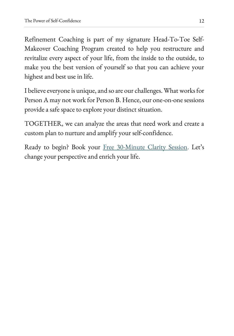Refinement Coaching is part of my signature Head-To-Toe Self-Makeover Coaching Program created to help you restructure and revitalize every aspect of your life, from the inside to the outside, to make you the best version of yourself so that you can achieve your highest and best use in life.

I believe everyone is unique, and so are our challenges. What works for Person A may not work for Person B. Hence, our one-on-one sessions provide a safe space to explore your distinct situation.

TOGETHER, we can analyze the areas that need work and create a custom plan to nurture and amplify your self-confidence.

Ready to begin? Book your [Free 30-Minute Clarity Session.](https://www.refinementcoaching.net/plans-pricing) Let's change your perspective and enrich your life.